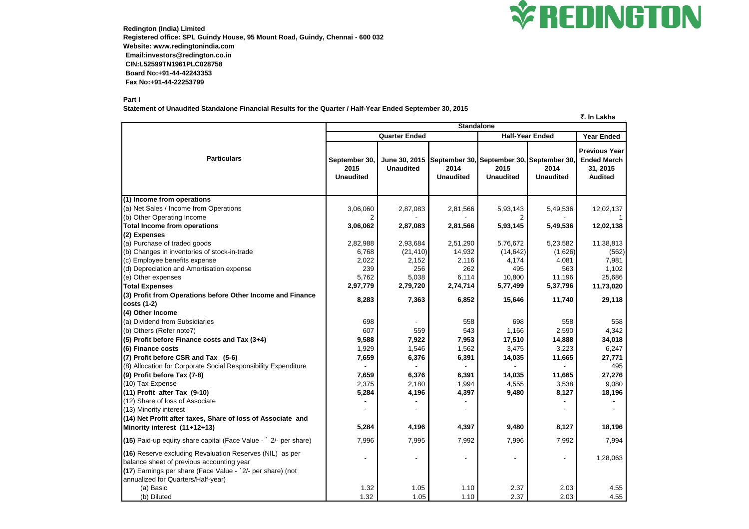

**Redington (India) Limited Registered office: SPL Guindy House, 95 Mount Road, Guindy, Chennai - 600 032 Website: www.redingtonindia.com Email:investors@redington.co.in CIN:L52599TN1961PLC028758 Board No:+91-44-42243353 Fax No:+91-44-22253799**

### **Part I**

**Statement of Unaudited Standalone Financial Results for the Quarter / Half-Year Ended September 30, 2015**

**₹. In Lakhs**

|                                                                                                                                                                                                           | <b>Standalone</b>                         |                                   |                          |                          |                                                                       |                                                                   |
|-----------------------------------------------------------------------------------------------------------------------------------------------------------------------------------------------------------|-------------------------------------------|-----------------------------------|--------------------------|--------------------------|-----------------------------------------------------------------------|-------------------------------------------------------------------|
|                                                                                                                                                                                                           |                                           | <b>Quarter Ended</b>              |                          | <b>Half-Year Ended</b>   | <b>Year Ended</b>                                                     |                                                                   |
| <b>Particulars</b>                                                                                                                                                                                        | September 30,<br>2015<br><b>Unaudited</b> | June 30, 2015<br><b>Unaudited</b> | 2014<br><b>Unaudited</b> | 2015<br><b>Unaudited</b> | September 30, September 30, September 30,<br>2014<br><b>Unaudited</b> | Previous Year<br><b>Ended March</b><br>31, 2015<br><b>Audited</b> |
| (1) Income from operations                                                                                                                                                                                |                                           |                                   |                          |                          |                                                                       |                                                                   |
| (a) Net Sales / Income from Operations                                                                                                                                                                    | 3,06,060                                  | 2,87,083                          | 2,81,566                 | 5,93,143                 | 5,49,536                                                              | 12,02,137                                                         |
| (b) Other Operating Income                                                                                                                                                                                | 2                                         |                                   |                          | 2                        |                                                                       |                                                                   |
| <b>Total Income from operations</b>                                                                                                                                                                       | 3,06,062                                  | 2,87,083                          | 2,81,566                 | 5,93,145                 | 5,49,536                                                              | 12,02,138                                                         |
| (2) Expenses                                                                                                                                                                                              |                                           |                                   |                          |                          |                                                                       |                                                                   |
| (a) Purchase of traded goods                                                                                                                                                                              | 2,82,988                                  | 2,93,684                          | 2,51,290                 | 5,76,672                 | 5,23,582                                                              | 11,38,813                                                         |
| (b) Changes in inventories of stock-in-trade                                                                                                                                                              | 6,768                                     | (21, 410)                         | 14,932                   | (14, 642)                | (1,626)                                                               | (562)                                                             |
| (c) Employee benefits expense                                                                                                                                                                             | 2,022                                     | 2,152                             | 2,116                    | 4,174                    | 4,081                                                                 | 7,981                                                             |
| (d) Depreciation and Amortisation expense                                                                                                                                                                 | 239                                       | 256                               | 262                      | 495                      | 563                                                                   | 1,102                                                             |
| (e) Other expenses                                                                                                                                                                                        | 5,762                                     | 5,038                             | 6,114                    | 10,800                   | 11,196                                                                | 25,686                                                            |
| <b>Total Expenses</b>                                                                                                                                                                                     | 2,97,779                                  | 2,79,720                          | 2,74,714                 | 5,77,499                 | 5,37,796                                                              | 11,73,020                                                         |
| (3) Profit from Operations before Other Income and Finance                                                                                                                                                | 8,283                                     | 7,363                             | 6,852                    | 15,646                   | 11,740                                                                | 29,118                                                            |
| $costs(1-2)$                                                                                                                                                                                              |                                           |                                   |                          |                          |                                                                       |                                                                   |
| (4) Other Income                                                                                                                                                                                          |                                           |                                   |                          |                          |                                                                       |                                                                   |
| (a) Dividend from Subsidiaries                                                                                                                                                                            | 698                                       |                                   | 558                      | 698                      | 558                                                                   | 558                                                               |
| (b) Others (Refer note7)                                                                                                                                                                                  | 607                                       | 559                               | 543                      | 1,166                    | 2,590                                                                 | 4,342                                                             |
| (5) Profit before Finance costs and Tax (3+4)                                                                                                                                                             | 9,588                                     | 7,922                             | 7,953                    | 17,510                   | 14,888                                                                | 34,018                                                            |
| (6) Finance costs                                                                                                                                                                                         | 1,929                                     | 1,546                             | 1,562                    | 3,475                    | 3,223                                                                 | 6,247                                                             |
| (7) Profit before CSR and Tax (5-6)                                                                                                                                                                       | 7,659                                     | 6,376                             | 6,391                    | 14,035                   | 11,665                                                                | 27,771                                                            |
| (8) Allocation for Corporate Social Responsibility Expenditure                                                                                                                                            |                                           |                                   |                          |                          |                                                                       | 495                                                               |
| (9) Profit before Tax (7-8)                                                                                                                                                                               | 7,659                                     | 6,376                             | 6,391                    | 14,035                   | 11,665                                                                | 27,276                                                            |
| (10) Tax Expense                                                                                                                                                                                          | 2,375                                     | 2,180                             | 1,994                    | 4,555                    | 3,538                                                                 | 9,080                                                             |
| (11) Profit after Tax (9-10)                                                                                                                                                                              | 5,284                                     | 4,196                             | 4,397                    | 9,480                    | 8,127                                                                 | 18,196                                                            |
| (12) Share of loss of Associate                                                                                                                                                                           |                                           |                                   |                          |                          |                                                                       |                                                                   |
| (13) Minority interest                                                                                                                                                                                    |                                           |                                   |                          |                          |                                                                       |                                                                   |
| (14) Net Profit after taxes, Share of loss of Associate and                                                                                                                                               |                                           |                                   |                          |                          |                                                                       |                                                                   |
| Minority interest (11+12+13)                                                                                                                                                                              | 5,284                                     | 4,196                             | 4,397                    | 9,480                    | 8,127                                                                 | 18,196                                                            |
| (15) Paid-up equity share capital (Face Value - ` 2/- per share)                                                                                                                                          | 7,996                                     | 7,995                             | 7,992                    | 7,996                    | 7,992                                                                 | 7,994                                                             |
| (16) Reserve excluding Revaluation Reserves (NIL) as per<br>balance sheet of previous accounting year<br>(17) Earnings per share (Face Value - `2/- per share) (not<br>annualized for Quarters/Half-year) | $\overline{\phantom{a}}$                  | $\overline{\phantom{a}}$          |                          | $\overline{\phantom{a}}$ |                                                                       | 1,28,063                                                          |
| (a) Basic                                                                                                                                                                                                 | 1.32                                      | 1.05                              | 1.10                     | 2.37                     | 2.03                                                                  | 4.55                                                              |
| (b) Diluted                                                                                                                                                                                               | 1.32                                      | 1.05                              | 1.10                     | 2.37                     | 2.03                                                                  | 4.55                                                              |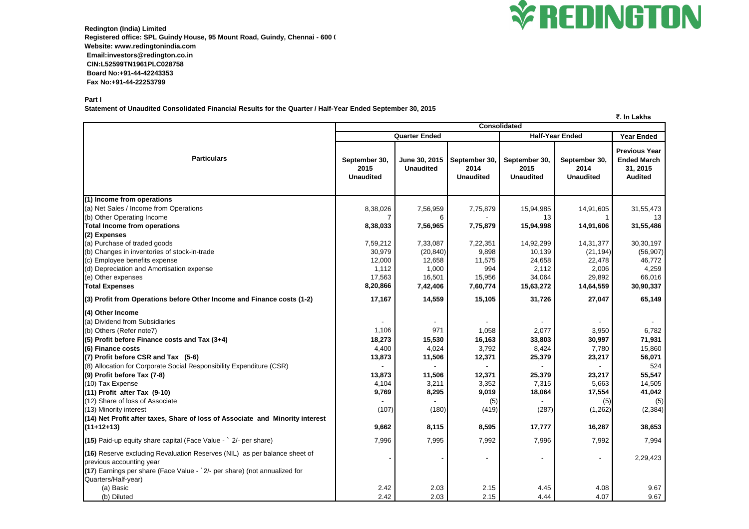

**Redington (India) Limited** Registered office: SPL Guindy House, 95 Mount Road, Guindy, Chennai - 600 ( **Website: www.redingtonindia.com Email:investors@redington.co.in CIN:L52599TN1961PLC028758 Board No:+91-44-42243353 Fax No:+91-44-22253799**

**Part I**

**Statement of Unaudited Consolidated Financial Results for the Quarter / Half-Year Ended September 30, 2015**

**₹. In Lakhs Year Ended September 30, 2015 Unaudited June 30, 2015 Unaudited September 30, 2014 Unaudited September 30, 2015 Unaudited September 30, 2014 Unaudited Previous Year Ended March 31, 2015 Audited (1) Income from operations** (a) Net Sales / Income from Operations 8,38,026 | 7,56,959 | 7,75,879 | 15,94,985 | 14,91,605 | 31,55,473 (b) Other Operating Income 7 6 - 13 1 13 **Total Income from operations 8,38,033 7,56,965 7,75,879 15,94,998 14,91,606 31,55,486 (2) Expenses** (a) Purchase of traded goods 7,59,212 7,33,087 7,22,351 14,92,299 14,31,377 30,30,197 (b) Changes in inventories of stock-in-trade  $(20,840)$   $(20,840)$   $(20,840)$   $(9,898$   $(10,139)$   $(21,194)$   $(56,907)$ (c) Employee benefits expense 12,000 12,658 11,575 24,658 22,478 22,478 22,4772 (d) Depreciation and Amortisation expense 1,112 1,112 1,000 994 2,112 2,006 4,259 (e) Other expenses 17,563 | 16,501 | 15,956 | 34,064 | 29,892 | 66,016 **Total Expenses 8,20,866 7,42,406 7,60,774 15,63,272 14,64,559 30,90,337 (3) Profit from Operations before Other Income and Finance costs (1-2) 17,167 14,559 15,105 31,726 27,047 65,149 (4) Other Income** (a) Dividend from Subsidiaries - - - - - - (b) Others (Refer note7) 1,106 | 971 | 1,058 | 2,077 | 3,950 | 6,782 (5) Profit before Finance costs and Tax (3+4) 18,273 | 16,163 | 33,803 | 30,997 | 71,931 **(6) Finance costs 4,400 | 4,024 | 3,792 | 8,424 | 7,780 | 15,860 (7) Profit before CSR and Tax (5-6)** 13,873 **13,873** 11,506 12,371 11,506 25,379 23,217 23,217 23,217 12,371 25,071 (8) Allocation for Corporate Social Responsibility Expenditure (CSR) - - - - - 524 **(9) Profit before Tax (7-8) 13,873 11,506 12,371 25,379 23,217 55,547** (10) Tax Expense 4,104 | 3,211 | 3,352 | 7,315 | 5,663 | 14,505 **(11) Profit after Tax (9-10) 9,769 8,295 9,019 18,064 17,554 41,042** (12) Share of loss of Associate (5) (5) (5) (5) (5) (13) Minority interest (107) (180) (419) (287) (1,262) (2,384) **(14) Net Profit after taxes, Share of loss of Associate and Minority interest (11+12+13) 9,662 8,115 8,595 17,777 16,287 38,653 (15)** Paid-up equity share capital (Face Value - ` 2/- per share) 7,996 7,995 7,992 7,996 7,992 7,994 **(16)** Reserve excluding Revaluation Reserves (NIL) as per balance sheet of previous accounting year - - - - - 2,29,423 **(17**) Earnings per share (Face Value - `2/- per share) (not annualized for Quarters/Half-year) (a) Basic 2.42 2.03 2.15 4.45 4.08 9.67 (b) Diluted 2.42 2.03 2.15 4.44 4.07 9.67 **Particulars Consolidated Quarter Ended Half-Year Ended**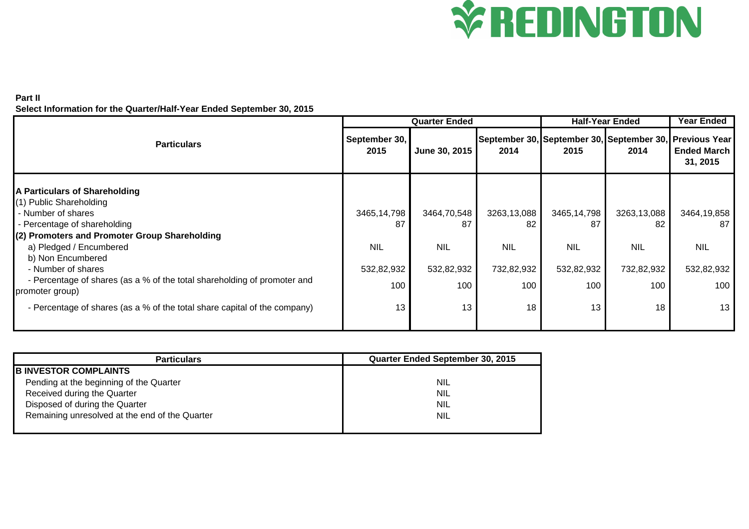# **V REDINGTON**

## **Part II**

**Select Information for the Quarter/Half-Year Ended September 30, 2015**

|                                                                                             |                       | <b>Quarter Ended</b> |             | <b>Half-Year Ended</b> | <b>Year Ended</b>                                               |                                |
|---------------------------------------------------------------------------------------------|-----------------------|----------------------|-------------|------------------------|-----------------------------------------------------------------|--------------------------------|
| <b>Particulars</b>                                                                          | September 30,<br>2015 | June 30, 2015        | 2014        | 2015                   | September 30, September 30, September 30, Previous Year<br>2014 | <b>Ended March</b><br>31, 2015 |
| A Particulars of Shareholding<br>(1) Public Shareholding                                    |                       |                      |             |                        |                                                                 |                                |
| - Number of shares                                                                          | 3465,14,798           | 3464,70,548          | 3263,13,088 | 3465,14,798            | 3263,13,088                                                     | 3464,19,858                    |
| - Percentage of shareholding<br>(2) Promoters and Promoter Group Shareholding               | 87                    | 87                   | 82          | 87                     | 82                                                              | 87                             |
| a) Pledged / Encumbered<br>b) Non Encumbered                                                | <b>NIL</b>            | <b>NIL</b>           | <b>NIL</b>  | <b>NIL</b>             | <b>NIL</b>                                                      | <b>NIL</b>                     |
| - Number of shares                                                                          | 532,82,932            | 532,82,932           | 732,82,932  | 532,82,932             | 732,82,932                                                      | 532,82,932                     |
| - Percentage of shares (as a % of the total shareholding of promoter and<br>promoter group) | 100                   | 100                  | 100         | 100                    | 100                                                             | 100                            |
| - Percentage of shares (as a % of the total share capital of the company)                   | 13                    | 13                   | 18          | 13                     | 18                                                              | 13                             |

| <b>Particulars</b>                             | Quarter Ended September 30, 2015 |  |  |  |  |
|------------------------------------------------|----------------------------------|--|--|--|--|
| <b>B INVESTOR COMPLAINTS</b>                   |                                  |  |  |  |  |
| Pending at the beginning of the Quarter        | <b>NIL</b>                       |  |  |  |  |
| Received during the Quarter                    | <b>NIL</b>                       |  |  |  |  |
| Disposed of during the Quarter                 | <b>NIL</b>                       |  |  |  |  |
| Remaining unresolved at the end of the Quarter | <b>NIL</b>                       |  |  |  |  |
|                                                |                                  |  |  |  |  |